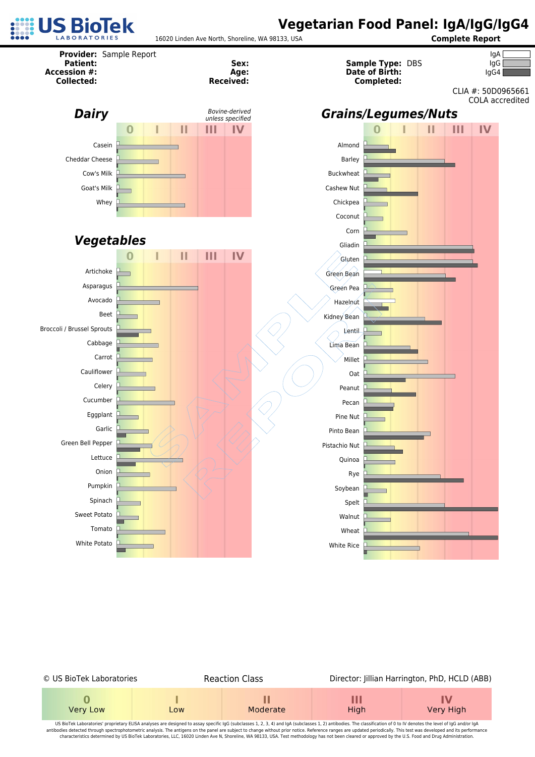



| © US BioTek Laboratories |     | <b>Reaction Class</b> | Director: Jillian Harrington, PhD, HCLD (ABB) |                 |  |  |  |
|--------------------------|-----|-----------------------|-----------------------------------------------|-----------------|--|--|--|
| Very Low                 | Low | Moderate              | Ш<br>High                                     | IV<br>Very High |  |  |  |

US BioTek Laboratories' proprietary ELISA analyses are designed to assay specific IgG (subclasses 1, 2, 3, 4) and IgA (subclasses 1, 2) antibodies. The classification of 0 to IV denotes the level of IgG and/or IgA antibodies detected through spectrophotometric analysis. The antigens on the panel are subject to change without prior notice. Reference ranges are updated periodically. This test was developed and its performance characteristics determined by US BioTek Laboratories, LLC, 16020 Linden Ave N, Shoreline, WA 98133, USA. Test methodology has not been cleared or approved by the U.S. Food and Drug Administration.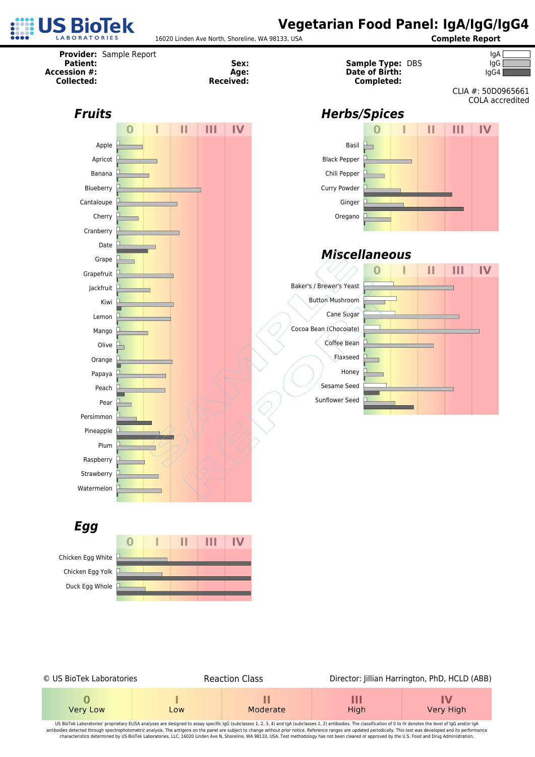



| © US BioTek Laboratories |     | <b>Reaction Class</b> |           | Director: Jillian Harrington, PhD, HCLD (ABB) |
|--------------------------|-----|-----------------------|-----------|-----------------------------------------------|
| Very Low                 | Low | Moderate              | Ш<br>High | IV<br>Very High                               |

US BioTek Laboratories' proprietary ELISA analyses are designed to assay specific IgG (subclasses 1, 2, 3, 4) and IgA (subclasses 1, 2) antibodies. The classification of 0 to IV denotes the level of IgG and/or IgA antibodies detected through spectrophotometric analysis. The antigens on the panel are subject to change without prior notice. Reference ranges are updated periodically. This test was developed and its performance characteristics determined by US BioTek Laboratories, LLC, 16020 Linden Ave N, Shoreline, WA 98133, USA. Test methodology has not been cleared or approved by the U.S. Food and Drug Administration.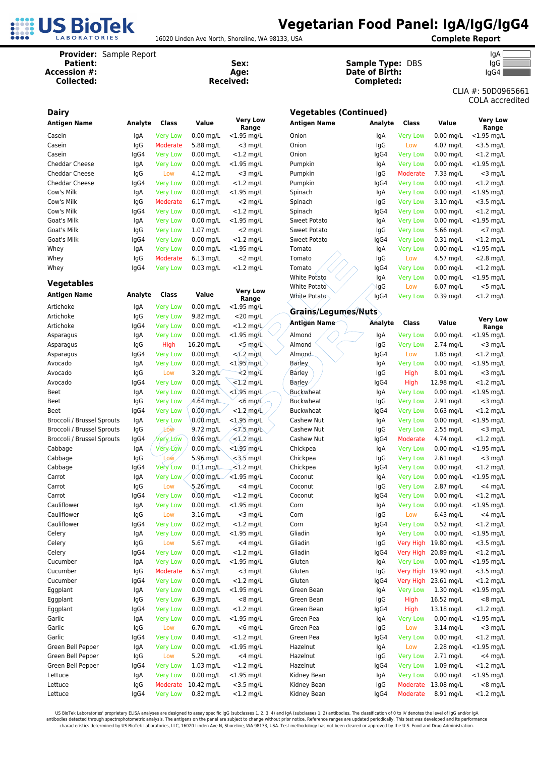

16020 Linden Ave North, Shoreline, WA 98133, USA **Complete Report**

**Date of Birth:** IgG4

| Provider: Sample Report<br><b>Patient:</b><br><b>Accession #:</b><br><b>Collected:</b> |         |                 |             | Sex:<br>Age:<br><b>Received:</b> | <b>Sample Type: DBS</b><br>Date of Birth:<br>Completed: | IgA<br>IgG<br>IgG4<br>CLIA #: 50D0 |                 |             |                         |
|----------------------------------------------------------------------------------------|---------|-----------------|-------------|----------------------------------|---------------------------------------------------------|------------------------------------|-----------------|-------------|-------------------------|
|                                                                                        |         |                 |             |                                  |                                                         |                                    |                 |             | COLA aco                |
| <b>Dairy</b>                                                                           |         |                 |             |                                  | <b>Vegetables (Continued)</b>                           |                                    |                 |             |                         |
| <b>Antigen Name</b>                                                                    | Analyte | Class           | Value       | <b>Very Low</b><br>Range         | Antigen Name                                            | Analyte                            | Class           | Value       | <b>Very Lo</b><br>Range |
| Casein                                                                                 | lgA     | <b>Very Low</b> | $0.00$ mg/L | $<$ 1.95 mg/L                    | Onion                                                   | lgA                                | <b>Very Low</b> | $0.00$ mg/L | $<$ 1.95 mg/            |
| Casein                                                                                 | IgG     | Moderate        | 5.88 mg/L   | $<$ 3 mg/L                       | Onion                                                   | IgG                                | Low             | 4.07 mg/L   | $<$ 3.5 mg/             |
| Casein                                                                                 | lgG4    | <b>Very Low</b> | $0.00$ mg/L | $<$ 1.2 mg/L                     | Onion                                                   | lgG4                               | <b>Very Low</b> | $0.00$ mg/L | $< 1.2$ mg/             |
| Cheddar Cheese                                                                         | lgA     | <b>Very Low</b> | $0.00$ mg/L | $<$ 1.95 mg/L                    | Pumpkin                                                 | lgA                                | <b>Very Low</b> | $0.00$ mg/L | $<$ 1.95 mg/            |
| Cheddar Cheese                                                                         | lgG     | Low             | 4.12 mg/L   | $<$ 3 mg/L                       | Pumpkin                                                 | lgG                                | Moderate        | 7.33 mg/L   | $<$ 3 mg/               |
| Cheddar Cheese                                                                         | lgG4    | <b>Very Low</b> | $0.00$ mg/L | $<$ 1.2 mg/L                     | Pumpkin                                                 | lgG4                               | <b>Very Low</b> | $0.00$ mg/L | $< 1.2$ mg/             |
| Cow's Milk                                                                             | lgA     | <b>Very Low</b> | $0.00$ mg/L | $<$ 1.95 mg/L                    | Spinach                                                 | lgA                                | <b>Very Low</b> | $0.00$ mg/L | $<$ 1.95 mg/            |
| Cow's Milk                                                                             | IgG     | Moderate        | $6.17$ mg/L | $<$ 2 mg/L                       | Spinach                                                 | lgG                                | <b>Very Low</b> | 3.10 mg/L   | $<$ 3.5 mg/             |
| Cow's Milk                                                                             | lgG4    | <b>Very Low</b> | $0.00$ mg/L | $<$ 1.2 mg/L                     | Spinach                                                 | lgG4                               | <b>Very Low</b> | $0.00$ mg/L | $< 1.2$ mg/             |
| Goat's Milk                                                                            | lgA     | <b>Very Low</b> | $0.00$ mg/L | $<$ 1.95 mg/L                    | Sweet Potato                                            | IgA                                | <b>Very Low</b> | $0.00$ mg/L | $< 1.95$ mg/            |
| Goat's Milk                                                                            | IgG     | <b>Very Low</b> | $1.07$ mg/L | $<$ 2 mg/L                       | Sweet Potato                                            | lgG                                | <b>Very Low</b> | 5.66 mg/L   | $<$ 7 mg/               |
| Goat's Milk                                                                            | lgG4    | <b>Very Low</b> | $0.00$ mg/L | $<$ 1.2 mg/L                     | Sweet Potato                                            | lgG4                               | <b>Very Low</b> | $0.31$ mg/L | $<$ 1.2 mg/             |
| Whey                                                                                   | lgA     | <b>Very Low</b> | $0.00$ mg/L | $<$ 1.95 mg/L                    | Tomato                                                  | lgA                                | <b>Very Low</b> | $0.00$ mg/L | $< 1.95$ mg/            |
| Whey                                                                                   | lgG     | Moderate        | $6.13$ mg/L | $<$ 2 mg/L                       | Tomato                                                  | lgG                                | Low             | 4.57 mg/L   | $< 2.8$ mg/             |
| Whey                                                                                   | lgG4    | <b>Very Low</b> | $0.03$ mg/L | $<$ 1.2 mg/L                     | Tomato                                                  | lgG4                               | <b>Very Low</b> | $0.00$ mg/L | $<$ 1.2 mg/             |
|                                                                                        |         |                 |             |                                  | <b>White Potato</b>                                     | lgA                                | <b>Very Low</b> | $0.00$ mg/L | $<$ 1.95 mg/            |
| <b>Vegetables</b>                                                                      |         |                 |             | <b>Very Low</b>                  | <b>White Potato</b>                                     | lgG                                | Low             | 6.07 mg/L   | $<$ 5 mg/               |
| <b>Antigen Name</b>                                                                    | Analyte | Class           | Value       | Range                            | White Potato                                            | lgG4                               | <b>Very Low</b> | 0.39 mg/L   | $< 1.2$ mg/             |
| Artichoke                                                                              | lgA     | <b>Very Low</b> | $0.00$ mg/L | $<$ 1.95 mg/L                    | Grains/Legumes/Nuts                                     |                                    |                 |             |                         |
| Artichoke                                                                              | IgG     | <b>Very Low</b> | 9.82 mg/L   | $<$ 20 mg/L                      |                                                         |                                    |                 |             | <b>Very Lo</b>          |
| Artichoke                                                                              | lgG4    | <b>Very Low</b> | $0.00$ mg/L | $<$ 1.2 mg/L                     | <b>Antigen Name</b>                                     | Analyte                            | <b>Class</b>    | Value       | Range                   |
| Asparagus                                                                              | lgA     | <b>Very Low</b> | $0.00$ mg/L | $<$ 1.95 mg/L                    | Almond                                                  | IgA                                | <b>Very Low</b> | $0.00$ mg/L | $< 1.95$ mg/            |
| Asparagus                                                                              | IgG     | High            | 16.20 mg/L  | $<$ 5 $mg/L$                     | Almond                                                  | IgG                                | <b>Very Low</b> | 2.74 mg/L   | $<$ 3 mg/               |
| Asparagus                                                                              | lgG4    | <b>Very Low</b> | $0.00$ mg/L | $< 1.2$ mg/l                     | Almond                                                  | lgG4                               | Low             | $1.85$ mg/L | $< 1.2$ mg/             |
| Avocado                                                                                | lgA     | <b>Very Low</b> | $0.00$ mg/L | $<$ 1.95 mg/L                    | Barley                                                  | lgA                                | <b>Very Low</b> | $0.00$ mg/L | $<$ 1.95 mg/            |
| Avocado                                                                                | lgG     | Low             | 3.20 mg/L   | $\leq$ mg/L                      | Barley                                                  | lgG                                | High            | 8.01 mg/L   | $<$ 3 mg/               |
| Avocado                                                                                | lgG4    | <b>Very Low</b> | $0.00$ mg/L | $< 1.2$ mg/L                     | Barley                                                  | lgG4                               | High            | 12.98 mg/L  | $< 1.2$ mg/             |
| <b>Beet</b>                                                                            | lgA     | <b>Very Low</b> | $0.00$ mg/L | $<$ 1,95 mg/L                    | <b>Buckwheat</b>                                        | lgA                                | <b>Very Low</b> | $0.00$ mg/L | $<$ 1.95 mg/            |
| Beet                                                                                   | lgG     | <b>Very Low</b> | $4.64$ mg/L | $<$ 6 mg/ $L$                    | <b>Buckwheat</b>                                        | lgG                                | <b>Very Low</b> | 2.91 mg/L   | $<$ 3 mg/               |
| Beet                                                                                   | lgG4    | <b>Very Low</b> | $0.00$ mg/L | $<$ 1.2 mg/L                     | <b>Buckwheat</b>                                        | IgG4                               | <b>Very Low</b> | $0.63$ mg/L | $<$ 1.2 mg/             |
| Broccoli / Brussel Sprouts                                                             | lgA     | <b>Very Low</b> | $0.00$ mg/L | <1,95 mg/L                       | Cashew Nut                                              | lgA                                | <b>Very Low</b> | $0.00$ mg/L | $<$ 1.95 mg/            |
| Broccoli / Brussel Sprouts                                                             | IgG     | Low             | $9.72$ mg/L | $< 7.5$ mg/L                     | Cashew Nut                                              | lgG                                | <b>Very Low</b> | 2.55 mg/L   | $<$ 3 mg/               |
| Broccoli / Brussel Sprouts                                                             | lgG4    | Very Low        | $0.96$ mg/L | $\leq 1.2$ mg/L                  | Cashew Nut                                              | lgG4                               | <b>Moderate</b> | 4.74 mg/L   | $<$ 1.2 mg/             |
| Cabbage                                                                                | lgA     | Very Low        | $0.00$ mg/L | $<$ 1.95 mg/L                    | Chickpea                                                | lgA                                | <b>Very Low</b> | $0.00$ mg/L | $<$ 1.95 mg/            |

|                            |             |                                    |                           |                             |                               |                |                      |                         | CLIA #: 50D0965661<br>COLA accredited |
|----------------------------|-------------|------------------------------------|---------------------------|-----------------------------|-------------------------------|----------------|----------------------|-------------------------|---------------------------------------|
| <b>Dairy</b>               |             |                                    |                           |                             | <b>Vegetables (Continued)</b> |                |                      |                         |                                       |
| <b>Antigen Name</b>        | Analyte     | Class                              | Value                     | <b>Very Low</b><br>Range    | Antigen Name                  | Analyte        | Class                | Value                   | <b>Very Low</b><br>Range              |
| Casein                     | IgA         | <b>Very Low</b>                    | $0.00$ mg/L               | $<$ 1.95 mg/L               | Onion                         | IgA            | <b>Very Low</b>      | $0.00$ mg/L             | $<$ 1.95 mg/L                         |
| Casein                     | IgG         | Moderate                           | 5.88 mg/L                 | $<$ 3 mg/L                  | Onion                         | IgG            | Low                  | 4.07 mg/L               | $<$ 3.5 mg/L                          |
| Casein                     | lgG4        | <b>Very Low</b>                    | $0.00$ mg/L               | $<$ 1.2 mg/L                | Onion                         | lgG4           | <b>Very Low</b>      | $0.00$ mg/L             | $<$ 1.2 mg/L                          |
| Cheddar Cheese             | IgA         | <b>Very Low</b>                    | $0.00$ mg/L               | $<$ 1.95 mg/L               | Pumpkin                       | lgA            | <b>Very Low</b>      | $0.00$ mg/L             | $<$ 1.95 mg/L                         |
| Cheddar Cheese             | IgG         | Low                                | 4.12 mg/L                 | $<$ 3 mg/L                  | Pumpkin                       | lgG            | Moderate             | 7.33 mg/L               | $<$ 3 mg/L                            |
| Cheddar Cheese             | lgG4        | <b>Very Low</b>                    | $0.00$ mg/L               | $<$ 1.2 mg/L                | Pumpkin                       | lgG4           | <b>Very Low</b>      | $0.00$ mg/L             | $<$ 1.2 mg/L                          |
| Cow's Milk                 | lgA         | <b>Very Low</b>                    | $0.00$ mg/L               | $<$ 1.95 mg/L               | Spinach                       | lgA            | <b>Very Low</b>      | $0.00$ mg/L             | $<$ 1.95 mg/L                         |
| Cow's Milk                 | lgG         | Moderate                           | $6.17$ mg/L               | $<$ 2 mg/L                  | Spinach                       | lgG            | <b>Very Low</b>      | $3.10$ mg/L             | $<$ 3.5 mg/L                          |
| Cow's Milk                 | lgG4        | <b>Very Low</b>                    | $0.00$ mg/L               | $<$ 1.2 mg/L                | Spinach                       | lgG4           | <b>Very Low</b>      | $0.00$ mg/L             | $<$ 1.2 mg/L                          |
| Goat's Milk                | IgA         | <b>Very Low</b>                    | $0.00$ mg/L               | $<$ 1.95 mg/L               | Sweet Potato                  | IgA            | <b>Very Low</b>      | $0.00$ mg/L             | $<$ 1.95 mg/L                         |
| Goat's Milk                | IgG         | <b>Very Low</b>                    | $1.07$ mg/L               | $<$ 2 mg/L                  | Sweet Potato                  | lgG            | <b>Very Low</b>      | 5.66 mg/L               | $<$ 7 mg/L                            |
| Goat's Milk                | lgG4        | <b>Very Low</b>                    | $0.00$ mg/L               | $<$ 1.2 mg/L                | Sweet Potato                  | lgG4           | <b>Very Low</b>      | $0.31$ mg/L             | $<$ 1.2 mg/L                          |
| Whey                       | IgA         | <b>Very Low</b>                    | $0.00$ mg/L               | $<$ 1.95 mg/L               | Tomato                        | lgA            | <b>Very Low</b>      | $0.00$ mg/L             | $<$ 1.95 mg/L                         |
| Whey                       | IgG         | Moderate                           | $6.13$ mg/L               | $<$ 2 mg/L                  | Tomato                        | IgG            | Low                  | 4.57 mg/L               | $<$ 2.8 mg/L                          |
| Whey                       | lgG4        | <b>Very Low</b>                    | $0.03$ mg/L               | $<$ 1.2 mg/L                | Tomato                        | lgG4           | <b>Very Low</b>      | $0.00$ mg/L             | $<$ 1.2 mg/L                          |
| <b>Vegetables</b>          |             |                                    |                           |                             | <b>White Potato</b>           | IgA            | <b>Very Low</b>      | $0.00$ mg/L             | $<$ 1.95 mg/L                         |
|                            |             |                                    |                           | <b>Very Low</b>             | White Potato                  | ∤gG            | Low                  | $6.07$ mg/L             | $<$ 5 mg/L                            |
| <b>Antigen Name</b>        | Analyte     | Class                              | Value                     | Range                       | White Potato                  | lgG4           | <b>Very Low</b>      | $0.39$ mg/L             | $<$ 1.2 mg/L                          |
| Artichoke                  | IgA         | <b>Very Low</b>                    | $0.00$ mg/L               | $<$ 1.95 mg/L               | <b>Grains/Legumes/Nuts</b>    |                |                      |                         |                                       |
| Artichoke<br>Artichoke     | IgG<br>lgG4 | <b>Very Low</b><br><b>Very Low</b> | 9.82 mg/L<br>$0.00$ mg/L  | $<$ 20 mg/L<br>$<$ 1.2 mg/L | <b>Antigen Name</b>           | <b>Analyte</b> | Class                | Value                   | <b>Very Low</b>                       |
| Asparagus                  | lgA         | <b>Very Low</b>                    | $0.00$ mg/L               | $<$ 1.95 mg/L               | Almond                        | IgA            | <b>Very Low</b>      | $0.00$ mg/L             | Range<br>$<$ 1.95 mg/L                |
| Asparagus                  | IgG         | High                               | 16.20 mg/L                | <5 mg/L                     | Almond                        | IgG            | <b>Very Low</b>      | 2.74 mg/L               | $<$ 3 mg/L                            |
| Asparagus                  | lgG4        | <b>Very Low</b>                    | $0.00$ mg/L               | $< 1.2$ mg/L                | Almond                        | lgG4           | Low                  | $1.85$ mg/L             | $<$ 1.2 mg/L                          |
| Avocado                    | IgA         | <b>Very Low</b>                    | $0.00$ mg/L               | $<$ 1.95 $mg/L$             | Barley                        | lgA            | <b>Very Low</b>      | $0.00$ mg/L             | $<$ 1.95 mg/L                         |
| Avocado                    | IgG         | Low                                | 3.20 mg/L                 | $\leq$ mg/L                 | Barley                        | IgG            | High                 | 8.01 mg/L               | $<$ 3 mg/L                            |
| Avocado                    | lgG4        | <b>Very Low</b>                    | $0.00$ mg/L               | $< 1.2$ mg/L                | Barley                        | IgG4           | High                 | 12.98 mg/L              | $<$ 1.2 mg/L                          |
| <b>Beet</b>                | IgA         | <b>Very Low</b>                    | $0.00$ mg/L               | $<$ 1,95 mg/L               | Buckwheat                     | lgA            | <b>Very Low</b>      | $0.00$ mg/L             | $<$ 1.95 mg/L                         |
| <b>Beet</b>                | IgG         | <b>Very Low</b>                    | $4.64$ mg/L               | $<$ 6 mg/L                  | <b>Buckwheat</b>              | IgG            | <b>Very Low</b>      | 2.91 mg/L               | $<$ 3 mg/L                            |
| Beet                       | lgG4        | <b>Very Low</b>                    | $0.00$ mg/L               | $<$ 1.2 mg/L                | <b>Buckwheat</b>              | lgG4           | <b>Very Low</b>      | $0.63$ mg/L             | $<$ 1.2 mg/L                          |
| Broccoli / Brussel Sprouts | lgA         | <b>Very Low</b>                    | $0.00$ mg/L               | $<$ 1,95 mg/L               | Cashew Nut                    | lgA            | <b>Very Low</b>      | $0.00$ mg/L             | $<$ 1.95 mg/L                         |
| Broccoli / Brussel Sprouts | IgG         | Low                                | $9.72 \text{ mg/L}$       | $\leq 7.5$ mg/L             | Cashew Nut                    | lgG            | <b>Very Low</b>      | 2.55 mg/L               | $<$ 3 mg/L                            |
| Broccoli / Brussel Sprouts | lgG4        | <b>Very Low</b>                    | $0.96$ mg/L               | $\leq 1.2$ mg/L             | Cashew Nut                    | lgG4           | Moderate             | 4.74 mg/L               | $<$ 1.2 mg/L                          |
| Cabbage                    | IgA         | Very Low                           | $0.00$ mg/ $\square$      | $<$ 1.95 mg/L               | Chickpea                      | lgA            | <b>Very Low</b>      | $0.00$ mg/L             | $<$ 1.95 mg/L                         |
| Cabbage                    | IgG         | Low∠                               | 5.96 mg/L                 | $<$ 3.5 mg/L                | Chickpea                      | IgG            | <b>Very Low</b>      | 2.61 mg/L               | $<$ 3 mg/L                            |
| Cabbage                    | lgG4        | <b>Very Low</b>                    | $0.11$ mg/L               | $<$ 1.2 mg/L                | Chickpea                      | lgG4           | <b>Very Low</b>      | $0.00$ mg/L             | $<$ 1.2 mg/L                          |
| Carrot                     | IgA         | <b>Very Low</b>                    | $0.00$ mg/L               | $<$ 1.95 mg/L               | Coconut                       | lgA            | <b>Very Low</b>      | $0.00$ mg/L             | $<$ 1.95 mg/L                         |
| Carrot                     | lgG         | Low                                | 5.26 mg/L                 | <4 mg/L                     | Coconut                       | lgG            | <b>Very Low</b>      | 2.87 mg/L               | $<$ 4 mg/L                            |
| Carrot                     | IgG4        | <b>Very Low</b>                    | $0.00$ mg/L               | $<$ 1.2 mg/L                | Coconut                       | lgG4           | <b>Very Low</b>      | $0.00$ mg/L             | $<$ 1.2 mg/L                          |
| Cauliflower                | IgA         | <b>Very Low</b>                    | $0.00$ mg/L               | $<$ 1.95 mg/L               | Corn                          | lgA            | <b>Very Low</b>      | $0.00$ mg/L             | $<$ 1.95 mg/L                         |
| Cauliflower                | IgG         | Low                                | 3.16 mg/L                 | $<$ 3 mg/L                  | Corn                          | IgG            | Low                  | 6.43 mg/L               | $<$ 4 mg/L                            |
| Cauliflower                | lgG4        | <b>Very Low</b>                    | $0.02$ mg/L               | $<$ 1.2 mg/L                | Corn                          | lgG4           | <b>Very Low</b>      | $0.52$ mg/L             | $<$ 1.2 mg/L                          |
| Celery                     | lgA         | <b>Very Low</b>                    | $0.00$ mg/L               | $<$ 1.95 mg/L               | Gliadin                       | lgA            | <b>Very Low</b>      | $0.00$ mg/L             | $<$ 1.95 mg/L                         |
| Celery                     | IgG         | Low                                | 5.67 mg/L                 | $<$ 4 mg/L                  | Gliadin                       | lgG            | Very High            | 19.80 mg/L              | $<$ 3.5 mg/L                          |
| Celery                     | lgG4        | <b>Very Low</b>                    | $0.00$ mg/L               | $<$ 1.2 mg/L                | Gliadin                       | lgG4           | Very High            | 20.89 mg/L              | $<$ 1.2 mg/L                          |
| Cucumber                   | IgA         | <b>Very Low</b>                    | $0.00$ mg/L               | $<$ 1.95 mg/L               | Gluten                        | lgA            | <b>Very Low</b>      | $0.00$ mg/L             | $<$ 1.95 mg/L                         |
| Cucumber                   | IgG         | Moderate                           | 6.57 mg/L                 | $<$ 3 mg/L                  | Gluten                        | IgG            | Very High            | 19.90 mg/L              | $<$ 3.5 mg/L                          |
| Cucumber                   | lgG4        | <b>Very Low</b>                    | $0.00$ mg/L               | $<$ 1.2 mg/L                | Gluten                        | lgG4           | Very High            | 23.61 mg/L              | $<$ 1.2 mg/L                          |
| Eggplant                   | IgA         | <b>Very Low</b>                    | $0.00$ mg/L               | $<$ 1.95 mg/L               | Green Bean                    | IgA            | <b>Very Low</b>      | 1.30 mg/L               | $<$ 1.95 mg/L                         |
| Eggplant                   | IgG         | <b>Very Low</b>                    | 6.39 mg/L                 | $<8$ mg/L                   | Green Bean                    | IgG            | High                 | 16.52 mg/L              | $<8$ mg/L                             |
| Eggplant                   | lgG4        | <b>Very Low</b>                    | $0.00$ mg/L               | $<$ 1.2 mg/L                | Green Bean                    | lgG4           | High                 | 13.18 mg/L              | $<$ 1.2 mg/L                          |
| Garlic                     | IgA         | <b>Very Low</b>                    | $0.00$ mg/L               | $<$ 1.95 mg/L               | Green Pea                     | IgA            | <b>Very Low</b>      | $0.00$ mg/L             | $<$ 1.95 mg/L                         |
| Garlic                     | IgG         | Low                                | 6.70 mg/L                 | $<$ 6 mg/L                  | Green Pea                     | IgG            | Low                  | 3.14 mg/L               | $<$ 3 mg/L                            |
| Garlic                     | lgG4        | <b>Very Low</b>                    | $0.40$ mg/L               | $<$ 1.2 mg/L                | Green Pea                     | lgG4           | <b>Very Low</b>      | $0.00$ mg/L             | $<$ 1.2 mg/L                          |
| Green Bell Pepper          | lgA         | <b>Very Low</b>                    | $0.00$ mg/L               | $<$ 1.95 mg/L               | Hazelnut                      | IgA            | Low                  | 2.28 mg/L               | $<$ 1.95 mg/L                         |
| Green Bell Pepper          | IgG         | Low                                | 5.20 mg/L                 | $<$ 4 mg/L                  | Hazelnut                      | IgG            | <b>Very Low</b>      | 2.71 mg/L               | $<$ 4 mg/L                            |
| Green Bell Pepper          | lgG4        | <b>Very Low</b>                    | $1.03$ mg/L               | $<$ 1.2 mg/L                | Hazelnut                      | lgG4           | <b>Very Low</b>      | 1.09 mg/L               | $<$ 1.2 mg/L                          |
| Lettuce                    | lgA         | <b>Very Low</b>                    | $0.00$ mg/L               | $<$ 1.95 mg/L               | Kidney Bean                   | lgA            | <b>Very Low</b>      | $0.00$ mg/L             | $<$ 1.95 mg/L                         |
| Lettuce<br>Lettuce         | IgG<br>lgG4 | Moderate<br><b>Very Low</b>        | 10.42 mg/L<br>$0.82$ mg/L | $<$ 3.5 mg/L                | Kidney Bean                   | IgG            | Moderate<br>Moderate | 13.08 mg/L<br>8.91 mg/L | $<8$ mg/L<br>$<$ 1.2 mg/L             |
|                            |             |                                    |                           | $<$ 1.2 mg/L                | Kidney Bean                   | lgG4           |                      |                         |                                       |

US BioTek Laboratories' proprietary ELISA analyses are designed to assay specific IgG (subclasses 1, 2, 3, 4) and IgA (subclasses 1, 2) antibodies. The classification of 0 to IV denotes the level of IgG and/or IgA antibodies detected through spectrophotometric analysis. The antigens on the panel are subject to change without prior notice. Reference ranges are updated periodically. This test was developed and its performance characteristics determined by US BioTek Laboratories, LLC, 16020 Linden Ave N, Shoreline, WA 98133, USA. Test methodology has not been cleared or approved by the U.S. Food and Drug Administration.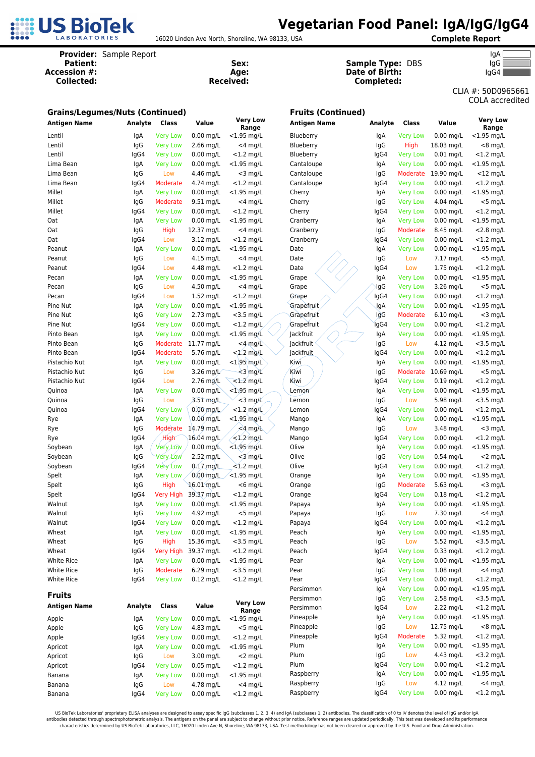

16020 Linden Ave North, Shoreline, WA 98133, USA **Complete Report**

**Provider:** Sample Report lgA<br> **Patient:** Cample Report **IgA**<br> **Patient:** Cample Type: DBS<br>
IgG **Sample Type: DBS** 

5661 dited

| Accession #:<br><b>Collected:</b>      |             | Age:<br><b>Received:</b>           |                          |                              | <b>Date of Birth:</b><br>Completed: |             |                                    | lgG4                       |                                       |  |
|----------------------------------------|-------------|------------------------------------|--------------------------|------------------------------|-------------------------------------|-------------|------------------------------------|----------------------------|---------------------------------------|--|
|                                        |             |                                    |                          |                              |                                     |             |                                    |                            | CLIA #: 50D0965<br><b>COLA</b> accred |  |
| <b>Grains/Legumes/Nuts (Continued)</b> |             |                                    |                          |                              | <b>Fruits (Continued)</b>           |             |                                    |                            |                                       |  |
| <b>Antigen Name</b>                    | Analyte     | Class                              | Value                    | <b>Very Low</b><br>Range     | <b>Antigen Name</b>                 | Analyte     | Class                              | Value                      | <b>Very Low</b><br>Range              |  |
| Lentil                                 | IgA         | <b>Very Low</b>                    | $0.00$ mg/L              | $<$ 1.95 mg/L                | Blueberry                           | lgA         | <b>Very Low</b>                    | $0.00$ mg/L                | $<$ 1.95 mg/L                         |  |
| Lentil                                 | IgG         | <b>Very Low</b>                    | $2.66$ mg/L              | $<$ 4 mg/L                   | Blueberry                           | IgG         | High                               | 18.03 mg/L                 | $<$ 8 mg/L                            |  |
| Lentil                                 | lgG4        | <b>Very Low</b>                    | $0.00$ mg/L              | $<$ 1.2 mg/L                 | Blueberry                           | lgG4        | <b>Very Low</b>                    | $0.01$ mg/L                | $<$ 1.2 mg/L                          |  |
| Lima Bean                              | lgA         | <b>Very Low</b>                    | $0.00$ mg/L              | $<$ 1.95 mg/L                | Cantaloupe                          | lgA         | <b>Very Low</b>                    | $0.00$ mg/L                | $<$ 1.95 mg/L                         |  |
| Lima Bean                              | IgG         | Low                                | 4.46 mg/L                | $<$ 3 mg/L                   | Cantaloupe                          | IgG         | Moderate                           | 19.90 mg/L                 | $<$ 12 mg/L                           |  |
| Lima Bean                              | lgG4        | Moderate                           | 4.74 mg/L                | $<$ 1.2 mg/L                 | Cantaloupe                          | lgG4        | <b>Very Low</b>                    | $0.00$ mg/L                | $<$ 1.2 mg/L                          |  |
| Millet                                 | lgA         | <b>Very Low</b>                    | $0.00$ mg/L              | $<$ 1.95 mg/L                | Cherry                              | lgA         | <b>Very Low</b>                    | $0.00$ mg/L                | $<$ 1.95 mg/L                         |  |
| Millet                                 | IgG         | Moderate                           | 9.51 mg/L                | $<$ 4 mg/L                   | Cherry                              | IgG         | <b>Very Low</b>                    | 4.04 mg/L                  | $<$ 5 mg/L                            |  |
| Millet                                 | lgG4        | <b>Very Low</b>                    | $0.00$ mg/L              | $<$ 1.2 mg/L                 | Cherry                              | lgG4        | <b>Very Low</b>                    | $0.00$ mg/L                | $<$ 1.2 mg/L                          |  |
| Oat                                    | lgA         | <b>Very Low</b>                    | $0.00$ mg/L              | $<$ 1.95 mg/L                | Cranberry                           | lgA         | <b>Very Low</b>                    | $0.00$ mg/L                | $<$ 1.95 mg/L                         |  |
| Oat                                    | IgG         | High                               | 12.37 mg/L               | $<$ 4 mg/L                   | Cranberry                           | IgG         | Moderate                           | 8.45 mg/L                  | $<$ 2.8 mg/L                          |  |
| Oat                                    | lgG4        | Low                                | 3.12 mg/L                | $<$ 1.2 mg/L                 | Cranberry                           | lgG4        | <b>Very Low</b>                    | $0.00$ mg/L                | $<$ 1.2 mg/L                          |  |
| Peanut                                 | lgA         | <b>Very Low</b>                    | $0.00$ mg/L              | $<$ 1.95 mg/L                | Date                                | lgA         | <b>Very Low</b>                    | $0.00$ mg/L                | $<$ 1.95 mg/L                         |  |
| Peanut                                 | IgG         | Low                                | $4.15$ mg/L              | $<$ 4 mg/L                   | Date                                | IgG         | Low                                | 7.17 mg/L                  | $<$ 5 mg/L                            |  |
| Peanut                                 | lgG4        | Low                                | 4.48 mg/L                | $<$ 1.2 mg/L                 | Date                                | lgG4        | Low                                | 1.75 mg/L                  | $<$ 1.2 mg/L                          |  |
| Pecan                                  | lgA         | <b>Very Low</b>                    | $0.00$ mg/L              | $<$ 1.95 mg/L                | Grape                               | lgA         | <b>Very Low</b>                    | $0.00$ mg/L                | $<$ 1.95 mg/L                         |  |
| Pecan                                  | IgG         | Low                                | 4.50 mg/L                | $<$ 4 mg/L                   | Grape                               | lgG         | <b>Very Low</b>                    | 3.26 mg/L                  | $<$ 5 mg/L                            |  |
| Pecan                                  | lgG4        | Low                                | 1.52 mg/L                | $<$ 1.2 mg/L                 | Grape                               | lgG4        | <b>Very Low</b>                    | $0.00$ mg/L                | $<$ 1.2 mg/L                          |  |
| Pine Nut<br>Pine Nut                   | lgA         | <b>Very Low</b>                    | $0.00$ mg/L              | $<$ 1.95 mg/L                | Grapefruit                          | JgA         | <b>Very Low</b>                    | $0.00$ mg/L                | $<$ 1.95 mg/L                         |  |
| Pine Nut                               | IgG         | <b>Very Low</b><br><b>Very Low</b> | 2.73 mg/L<br>$0.00$ mg/L | $<$ 3.5 mg/L<br>$<$ 1.2 mg/L | Grapefruit<br>Grapefruit            | IgG<br>lgG4 | Moderate                           | $6.10$ mg/L<br>$0.00$ mg/L | $<$ 3 mg/L                            |  |
| Pinto Bean                             | lgG4<br>lgA | <b>Very Low</b>                    | $0.00$ mg/L              | $<$ 1.95 mg/L                | Jackfruit                           | lgA         | <b>Very Low</b><br><b>Very Low</b> | $0.00$ mg/L                | $<$ 1.2 mg/L<br>$<$ 1.95 mg/L         |  |
| Pinto Bean                             | IgG         | Moderate                           | 11.77 mg/L               | $<$ 4 mg/L                   | Jackfruit                           | IgG         | Low                                | $4.12$ mg/L                | $<$ 3.5 mg/L                          |  |
| Pinto Bean                             | lgG4        | Moderate                           | 5.76 mg/L                | $<1.2$ mg/L                  | Jackfruit                           | lgG4        | <b>Very Low</b>                    | $0.00$ mg/L                | $<$ 1.2 mg/L                          |  |
| Pistachio Nut                          | lgA         | <b>Very Low</b>                    | $0.00$ mg/L              | $<$ 1.95 mg/L                | Kiwi                                | lgA         | <b>Very Low</b>                    | $0.00$ mg/L                | $<$ 1.95 mg/L                         |  |
| Pistachio Nut                          | IgG         | Low                                | 3.26 mg/L                | $\frac{1}{2}$ mg/L           | Kiwi                                | IgG         | Moderate                           | 10.69 mg/L                 | $<$ 5 mg/L                            |  |
| Pistachio Nut                          | lgG4        | Low                                | 2.76 mg/L                | $<1.2$ mg/L                  | Kiwi                                | lgG4        | <b>Very Low</b>                    | $0.19$ mg/L                | $<$ 1.2 mg/L                          |  |
| Quinoa                                 | lgA         | <b>Very Low</b>                    | $0.00$ mg/L              | $<$ 1.95 mg/L                | Lemon                               | lgA         | <b>Very Low</b>                    | $0.00$ mg/L                | $<$ 1.95 mg/L                         |  |
| Quinoa                                 | IgG         | Low                                | 3.51 mg/L                | $<$ 3 mg/ $\angle$           | Lemon                               | IgG         | Low                                | 5.98 mg/L                  | $<$ 3.5 mg/L                          |  |
| Quinoa                                 | lgG4        | <b>Very Low</b>                    | $0.00$ mg/L              | $<$ 1.2 mg/l                 | Lemon                               | lgG4        | <b>Very Low</b>                    | $0.00$ mg/L                | $<$ 1.2 mg/L                          |  |
| Rye                                    | lgA         | <b>Very Low</b>                    | $0.00$ mg/L              | $<$ 1.95 mg/L                | Mango                               | lgA         | <b>Very Low</b>                    | $0.00$ mg/L                | $<$ 1.95 mg/L                         |  |
| Rye                                    | IgG         | Moderate                           | 14.79 mg/L               | $\measuredangle$ 4 mg/L      | Mango                               | IgG         | Low                                | 3.48 mg/L                  | $<$ 3 mg/L                            |  |
| Rye                                    | lgG4        | High                               | 16.04 mg/L               | $\leq 1.2$ mg/L              | Mango                               | lgG4        | <b>Very Low</b>                    | $0.00$ mg/L                | $<$ 1.2 mg/L                          |  |
| Soybean                                | IgA         | Very Low                           | $0.00$ mg/ $\&$          | $<$ 1.95 mg/L                | Olive                               | lgA         | <b>Very Low</b>                    | $0.00$ mg/L                | $<$ 1.95 mg/L                         |  |
| Soybean                                | IgG         | ∀éry Łow                           | 2.52 mg/L                | $<$ 3 mg/L                   | Olive                               | IgG         | <b>Very Low</b>                    | $0.54$ mg/L                | $<$ 2 mg/L                            |  |
| Soybean                                | lgG4        | <b>Very Low</b>                    | $0.17$ mg/L              | $<$ 1.2 mg/L                 | Olive                               | lgG4        | <b>Very Low</b>                    | $0.00$ mg/L                | $<$ 1.2 mg/L                          |  |
| Spelt                                  | IgA         | <b>Very Low</b>                    | $0.00$ mg/L              | $<$ 1.95 mg/L                | Orange                              | lgA         | <b>Very Low</b>                    | $0.00$ mg/L                | $<$ 1.95 mg/L                         |  |
| Spelt                                  | IgG         | High                               | $16.01$ mg/L             | $<$ 6 mg/L                   | Orange                              | IgG         | Moderate                           | 5.63 mg/L                  | $<$ 3 mg/L                            |  |
| Spelt                                  | lgG4        | Very High                          | 39.37 mg/L               | $<$ 1.2 mg/L                 | Orange                              | lgG4        | <b>Very Low</b>                    | $0.18$ mg/L                | $<$ 1.2 mg/L                          |  |
| Walnut                                 | IgA         | <b>Very Low</b>                    | $0.00$ mg/L              | $<$ 1.95 mg/L                | Papaya                              | lgA         | <b>Very Low</b>                    | $0.00$ mg/L                | $<$ 1.95 mg/L                         |  |
| Walnut                                 | IgG         | <b>Very Low</b>                    | 4.92 mg/L                | $<$ 5 mg/L                   | Papaya                              | IgG         | Low                                | 7.30 mg/L                  | $<$ 4 mg/L                            |  |
| Walnut                                 | lgG4        | <b>Very Low</b>                    | $0.00$ mg/L              | $<$ 1.2 mg/L                 | Papaya                              | lgG4        | <b>Very Low</b>                    | $0.00$ mg/L                | $<$ 1.2 mg/L                          |  |
| Wheat                                  | lgA         | <b>Very Low</b>                    | $0.00$ mg/L              | $<$ 1.95 mg/L                | Peach                               | lgA         | <b>Very Low</b>                    | $0.00$ mg/L                | $<$ 1.95 mg/L                         |  |
| Wheat                                  | IgG         | High                               | 15.36 mg/L               | $<$ 3.5 mg/L                 | Peach                               | IgG         | Low                                | 5.52 mg/L                  | $<$ 3.5 mg/L                          |  |
| Wheat                                  | lgG4        | <b>Very High</b>                   | 39.37 mg/L               | $<$ 1.2 mg/L                 | Peach                               | lgG4        | <b>Very Low</b>                    | 0.33 mg/L                  | $<$ 1.2 mg/L                          |  |
| White Rice                             | lgA         | <b>Very Low</b>                    | $0.00$ mg/L              | $<$ 1.95 mg/L                | Pear                                | lgA         | <b>Very Low</b>                    | $0.00$ mg/L                | $<$ 1.95 mg/L                         |  |
| White Rice                             | IgG         | Moderate                           | 6.29 mg/L                | $<$ 3.5 mg/L                 | Pear                                | IgG         | <b>Very Low</b>                    | $1.08$ mg/L                | $<$ 4 mg/L                            |  |
| White Rice                             | lgG4        | <b>Very Low</b>                    | $0.12$ mg/L              | $<$ 1.2 mg/L                 | Pear                                | lgG4        | <b>Very Low</b>                    | $0.00$ mg/L                | $<$ 1.2 mg/L                          |  |
| <b>Fruits</b>                          |             |                                    |                          |                              | Persimmon                           | lgA         | <b>Very Low</b>                    | $0.00$ mg/L                | $<$ 1.95 mg/L                         |  |
| <b>Antigen Name</b>                    | Analyte     | Class                              | Value                    | <b>Very Low</b>              | Persimmon                           | IgG         | <b>Very Low</b>                    | 2.58 mg/L                  | $<$ 3.5 mg/L                          |  |
|                                        |             |                                    |                          | Range                        | Persimmon                           | lgG4        | Low                                | 2.22 mg/L                  | $<$ 1.2 mg/L                          |  |
| Apple                                  | lgA         | <b>Very Low</b>                    | $0.00$ mg/L              | $<$ 1.95 mg/L                | Pineapple                           | lgA         | <b>Very Low</b>                    | $0.00$ mg/L                | $<$ 1.95 mg/L                         |  |
| Apple                                  | IgG         | <b>Very Low</b>                    | 4.83 mg/L                | $<$ 5 mg/L                   | Pineapple                           | IgG         | Low                                | 12.75 mg/L                 | $<$ 8 mg/L                            |  |
| Apple                                  | lgG4        | <b>Very Low</b>                    | $0.00$ mg/L              | $<$ 1.2 mg/L                 | Pineapple                           | lgG4        | Moderate                           | 5.32 mg/L                  | $<$ 1.2 mg/L                          |  |
| Apricot                                | lgA         | <b>Very Low</b>                    | $0.00$ mg/L              | $<$ 1.95 mg/L                | Plum                                | lgA         | <b>Very Low</b>                    | $0.00$ mg/L                | $<$ 1.95 mg/L                         |  |
| Apricot                                | IgG         | Low                                | 3.00 mg/L                | $<$ 2 mg/L                   | Plum<br>Plum                        | IgG         | Low                                | 4.43 mg/L<br>$0.00$ mg/L   | $<$ 3.2 mg/L                          |  |
| Apricot                                | lgG4        | <b>Very Low</b>                    | $0.05$ mg/L              | $<$ 1.2 mg/L                 |                                     | lgG4        | <b>Very Low</b><br><b>Very Low</b> |                            | $<$ 1.2 mg/L<br>$<$ 1.95 mg/L         |  |
| Banana                                 | lgA         | <b>Very Low</b>                    | $0.00$ mg/L              | $<$ 1.95 mg/L                | Raspberry<br>Raspberry              | lgA<br>IgG  | Low                                | $0.00$ mg/L<br>4.12 mg/L   | $<$ 4 mg/L                            |  |
| Banana                                 | IgG         | Low                                | 4.78 mg/L                | $<$ 4 mg/L                   | Raspberry                           | IgG4        | <b>Very Low</b>                    | $0.00$ mg/L                | $<$ 1.2 mg/L                          |  |
| Banana                                 | IgG4        | <b>Very Low</b>                    | $0.00$ mg/L              | $<$ 1.2 mg/L                 |                                     |             |                                    |                            |                                       |  |

US BioTek Laboratories' proprietary ELISA analyses are designed to assay specific IgG (subclasses 1, 2, 3, 4) and IgA (subclasses 1, 2) antibodies. The classification of 0 to IV denotes the level of IgG and/or IgA المعالمة